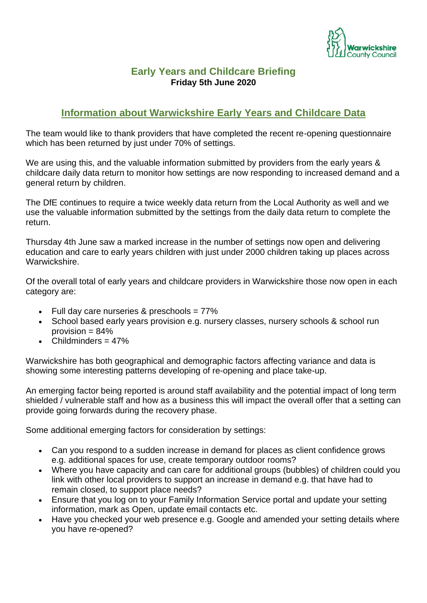

## **Early Years and Childcare Briefing Friday 5th June 2020**

# **Information about Warwickshire Early Years and Childcare Data**

The team would like to thank providers that have completed the recent re-opening questionnaire which has been returned by just under 70% of settings.

We are using this, and the valuable information submitted by providers from the early years & childcare daily data return to monitor how settings are now responding to increased demand and a general return by children.

The DfE continues to require a twice weekly data return from the Local Authority as well and we use the valuable information submitted by the settings from the daily data return to complete the return.

Thursday 4th June saw a marked increase in the number of settings now open and delivering education and care to early years children with just under 2000 children taking up places across Warwickshire.

Of the overall total of early years and childcare providers in Warwickshire those now open in each category are:

- Full day care nurseries & preschools = 77%
- School based early years provision e.g. nursery classes, nursery schools & school run provision  $= 84\%$
- Childminders  $= 47\%$

Warwickshire has both geographical and demographic factors affecting variance and data is showing some interesting patterns developing of re-opening and place take-up.

An emerging factor being reported is around staff availability and the potential impact of long term shielded / vulnerable staff and how as a business this will impact the overall offer that a setting can provide going forwards during the recovery phase.

Some additional emerging factors for consideration by settings:

- Can you respond to a sudden increase in demand for places as client confidence grows e.g. additional spaces for use, create temporary outdoor rooms?
- Where you have capacity and can care for additional groups (bubbles) of children could you link with other local providers to support an increase in demand e.g. that have had to remain closed, to support place needs?
- Ensure that you log on to your Family Information Service portal and update your setting information, mark as Open, update email contacts etc.
- Have you checked your web presence e.g. Google and amended your setting details where you have re-opened?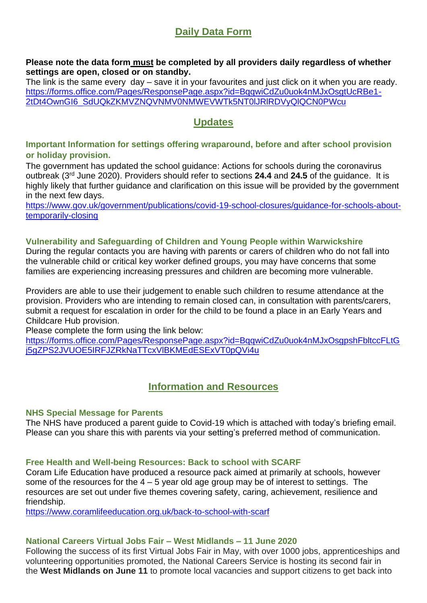# **Daily Data Form**

**Please note the data form must be completed by all providers daily regardless of whether settings are open, closed or on standby.**

The link is the same every day – save it in your favourites and just click on it when you are ready. https://forms.office.com/Pages/ResponsePage.aspx?id=BggwiCdZu0uok4nMJxOsgtUcRBe1-[2tDt4OwnGI6\\_SdUQkZKMVZNQVNMV0NMWEVWTk5NT0lJRlRDVyQlQCN0PWcu](https://forms.office.com/Pages/ResponsePage.aspx?id=BqqwiCdZu0uok4nMJxOsgtUcRBe1-2tDt4OwnGI6_SdUQkZKMVZNQVNMV0NMWEVWTk5NT0lJRlRDVyQlQCN0PWcu)

# **Updates**

#### **Important Information for settings offering wraparound, before and after school provision or holiday provision.**

The government has updated the school guidance: Actions for schools during the coronavirus outbreak (3rd June 2020). Providers should refer to sections **24.4** and **24.5** of the guidance. It is highly likely that further guidance and clarification on this issue will be provided by the government in the next few days.

[https://www.gov.uk/government/publications/covid-19-school-closures/guidance-for-schools-about](https://www.gov.uk/government/publications/covid-19-school-closures/guidance-for-schools-about-temporarily-closing)[temporarily-closing](https://www.gov.uk/government/publications/covid-19-school-closures/guidance-for-schools-about-temporarily-closing)

### **Vulnerability and Safeguarding of Children and Young People within Warwickshire**

During the regular contacts you are having with parents or carers of children who do not fall into the vulnerable child or critical key worker defined groups, you may have concerns that some families are experiencing increasing pressures and children are becoming more vulnerable.

Providers are able to use their judgement to enable such children to resume attendance at the provision. Providers who are intending to remain closed can, in consultation with parents/carers, submit a request for escalation in order for the child to be found a place in an Early Years and Childcare Hub provision.

Please complete the form using the link below:

[https://forms.office.com/Pages/ResponsePage.aspx?id=BqqwiCdZu0uok4nMJxOsgpshFbltccFLtG](https://forms.office.com/Pages/ResponsePage.aspx?id=BqqwiCdZu0uok4nMJxOsgpshFbltccFLtGj5gZPS2JVUOE5IRFJZRkNaTTcxVlBKMEdESExVT0pQVi4u) [j5gZPS2JVUOE5IRFJZRkNaTTcxVlBKMEdESExVT0pQVi4u](https://forms.office.com/Pages/ResponsePage.aspx?id=BqqwiCdZu0uok4nMJxOsgpshFbltccFLtGj5gZPS2JVUOE5IRFJZRkNaTTcxVlBKMEdESExVT0pQVi4u)

# **Information and Resources**

### **NHS Special Message for Parents**

The NHS have produced a parent guide to Covid-19 which is attached with today's briefing email. Please can you share this with parents via your setting's preferred method of communication**.**

#### **Free Health and Well-being Resources: Back to school with SCARF**

Coram Life Education have produced a resource pack aimed at primarily at schools, however some of the resources for the  $4 - 5$  year old age group may be of interest to settings. The resources are set out under five themes covering safety, caring, achievement, resilience and friendship.

<https://www.coramlifeeducation.org.uk/back-to-school-with-scarf>

#### **National Careers Virtual Jobs Fair – West Midlands – 11 June 2020**

Following the success of its first Virtual Jobs Fair in May, with over 1000 jobs, apprenticeships and volunteering opportunities promoted, the National Careers Service is hosting its second fair in the **West Midlands on June 11** to promote local vacancies and support citizens to get back into